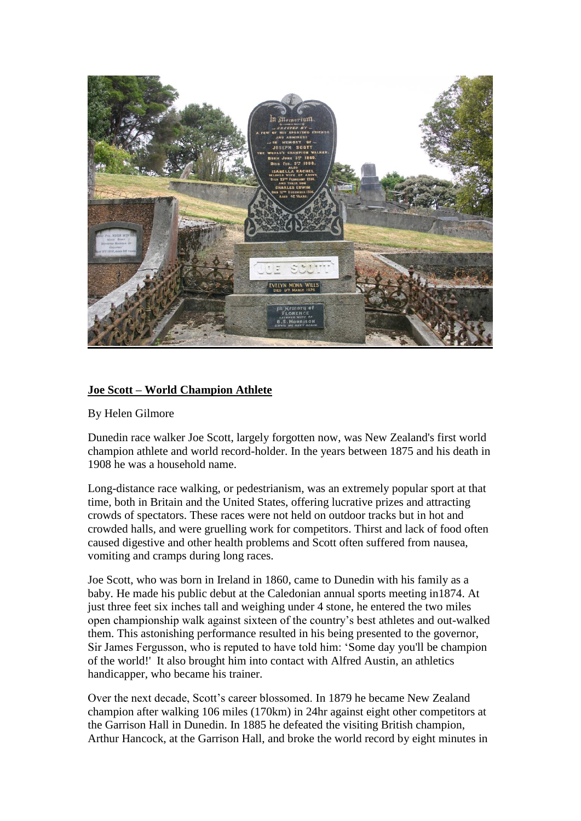

## **Joe Scott – World Champion Athlete**

By Helen Gilmore

Dunedin race walker Joe Scott, largely forgotten now, was New Zealand's first world champion athlete and world record-holder. In the years between 1875 and his death in 1908 he was a household name.

Long-distance race walking, or pedestrianism, was an extremely popular sport at that time, both in Britain and the United States, offering lucrative prizes and attracting crowds of spectators. These races were not held on outdoor tracks but in hot and crowded halls, and were gruelling work for competitors. Thirst and lack of food often caused digestive and other health problems and Scott often suffered from nausea, vomiting and cramps during long races.

Joe Scott, who was born in Ireland in 1860, came to Dunedin with his family as a baby. He made his public debut at the Caledonian annual sports meeting in1874. At just three feet six inches tall and weighing under 4 stone, he entered the two miles open championship walk against sixteen of the country's best athletes and out-walked them. This astonishing performance resulted in his being presented to the governor, Sir James Fergusson, who is reputed to have told him: 'Some day you'll be champion of the world!' It also brought him into contact with Alfred Austin, an athletics handicapper, who became his trainer.

Over the next decade, Scott's career blossomed. In 1879 he became New Zealand champion after walking 106 miles (170km) in 24hr against eight other competitors at the Garrison Hall in Dunedin. In 1885 he defeated the visiting British champion, Arthur Hancock, at the Garrison Hall, and broke the world record by eight minutes in